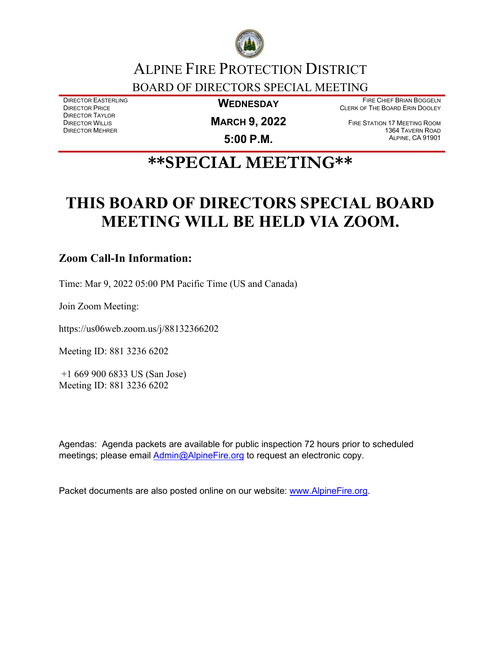

## ALPINE FIRE PROTECTION DISTRICT BOARD OF DIRECTORS SPECIAL MEETING

DIRECTOR EASTERLING DIRECTOR PRICE DIRECTOR TAYLOR DIRECTOR WILLIS DIRECTOR MEHRER

**WEDNESDAY**

FIRE CHIEF BRIAN BOGGELN CLERK OF THE BOARD ERIN DOOLEY

**MARCH 9, 2022** 

**5:00 P.M.**

FIRE STATION 17 MEETING ROOM 1364 TAVERN ROAD ALPINE, CA 91901

# **\*\*SPECIAL MEETING\*\***

# **THIS BOARD OF DIRECTORS SPECIAL BOARD MEETING WILL BE HELD VIA ZOOM.**

### **Zoom Call-In Information:**

Time: Mar 9, 2022 05:00 PM Pacific Time (US and Canada)

Join Zoom Meeting:

https://us06web.zoom.us/j/88132366202

Meeting ID: 881 3236 6202

+1 669 900 6833 US (San Jose) Meeting ID: 881 3236 6202

Agendas: Agenda packets are available for public inspection 72 hours prior to scheduled meetings; please email [Admin@AlpineFire.org](mailto:Admin@AlpineFire.org) to request an electronic copy.

Packet documents are also posted online on our website: [www.AlpineFire.org.](http://www.alpinefire.org/)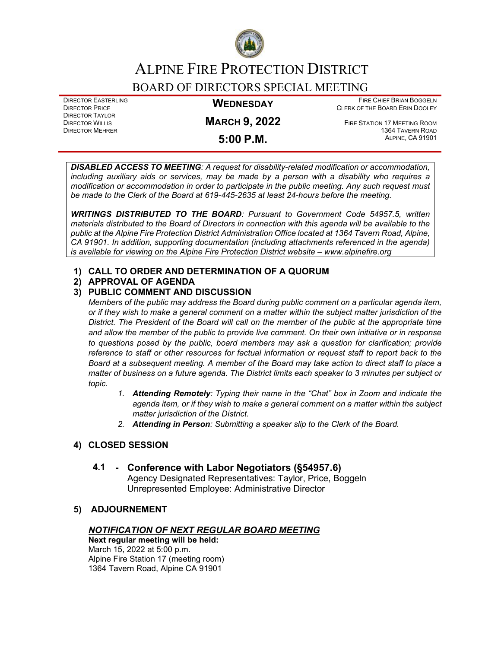

## ALPINE FIRE PROTECTION DISTRICT

### BOARD OF DIRECTORS SPECIAL MEETING

DIRECTOR EASTERLING DIRECTOR PRICE DIRECTOR TAYLOR DIRECTOR WILLIS DIRECTOR MEHRER

#### **WEDNESDAY**

FIRE CHIEF BRIAN BOGGELN CLERK OF THE BOARD ERIN DOOLEY

### **MARCH 9, 2022 5:00 P.M.**

FIRE STATION 17 MEETING ROOM 1364 TAVERN ROAD ALPINE, CA 91901

*DISABLED ACCESS TO MEETING: A request for disability-related modification or accommodation, including auxiliary aids or services, may be made by a person with a disability who requires a modification or accommodation in order to participate in the public meeting. Any such request must be made to the Clerk of the Board at 619-445-2635 at least 24-hours before the meeting.*

*WRITINGS DISTRIBUTED TO THE BOARD: Pursuant to Government Code 54957.5, written materials distributed to the Board of Directors in connection with this agenda will be available to the public at the Alpine Fire Protection District Administration Office located at 1364 Tavern Road, Alpine, CA 91901. In addition, supporting documentation (including attachments referenced in the agenda) is available for viewing on the Alpine Fire Protection District website – www.alpinefire.org*

#### **1) CALL TO ORDER AND DETERMINATION OF A QUORUM**

#### **2) APPROVAL OF AGENDA**

#### **3) PUBLIC COMMENT AND DISCUSSION**

*Members of the public may address the Board during public comment on a particular agenda item, or if they wish to make a general comment on a matter within the subject matter jurisdiction of the District. The President of the Board will call on the member of the public at the appropriate time and allow the member of the public to provide live comment. On their own initiative or in response to questions posed by the public, board members may ask a question for clarification; provide reference to staff or other resources for factual information or request staff to report back to the Board at a subsequent meeting. A member of the Board may take action to direct staff to place a matter of business on a future agenda. The District limits each speaker to 3 minutes per subject or topic.*

- *1. Attending Remotely: Typing their name in the "Chat" box in Zoom and indicate the agenda item, or if they wish to make a general comment on a matter within the subject matter jurisdiction of the District.*
- *2. Attending in Person: Submitting a speaker slip to the Clerk of the Board.*

#### **4) CLOSED SESSION**

#### **4.1 - Conference with Labor Negotiators (§54957.6)**

Agency Designated Representatives: Taylor, Price, Boggeln Unrepresented Employee: Administrative Director

#### **5) ADJOURNEMENT**

#### *NOTIFICATION OF NEXT REGULAR BOARD MEETING*

**Next regular meeting will be held:** March 15, 2022 at 5:00 p.m. Alpine Fire Station 17 (meeting room) 1364 Tavern Road, Alpine CA 91901